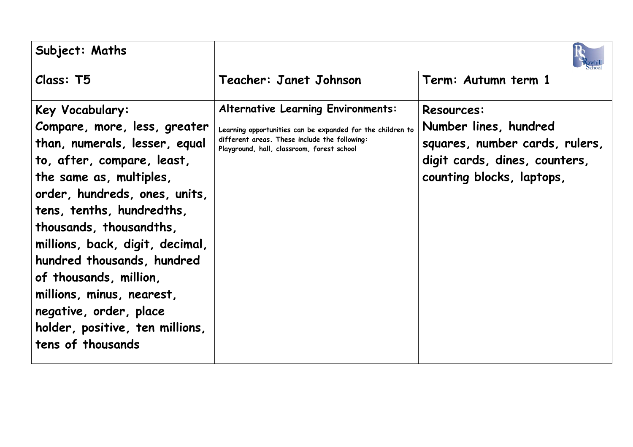| Subject: Maths                                                                                                                                                                                                                                                                                                                                                                                                                               |                                                                                                                                                                                                        |                                                                                                                                            |
|----------------------------------------------------------------------------------------------------------------------------------------------------------------------------------------------------------------------------------------------------------------------------------------------------------------------------------------------------------------------------------------------------------------------------------------------|--------------------------------------------------------------------------------------------------------------------------------------------------------------------------------------------------------|--------------------------------------------------------------------------------------------------------------------------------------------|
| Class: T5                                                                                                                                                                                                                                                                                                                                                                                                                                    | Teacher: Janet Johnson                                                                                                                                                                                 | Term: Autumn term 1                                                                                                                        |
| Key Vocabulary:<br>Compare, more, less, greater<br>than, numerals, lesser, equal<br>to, after, compare, least,<br>the same as, multiples,<br>order, hundreds, ones, units,<br>tens, tenths, hundredths,<br>thousands, thousandths,<br>millions, back, digit, decimal,<br>hundred thousands, hundred<br>of thousands, million,<br>millions, minus, nearest,<br>negative, order, place<br>holder, positive, ten millions,<br>tens of thousands | <b>Alternative Learning Environments:</b><br>Learning opportunities can be expanded for the children to<br>different areas. These include the following:<br>Playground, hall, classroom, forest school | <b>Resources:</b><br>Number lines, hundred<br>squares, number cards, rulers,<br>digit cards, dines, counters,<br>counting blocks, laptops, |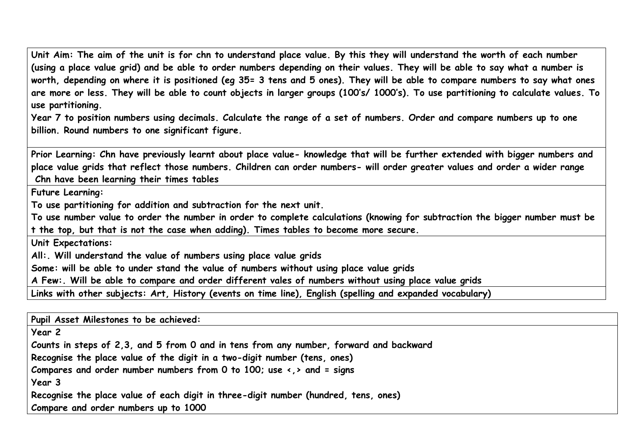**Unit Aim: The aim of the unit is for chn to understand place value. By this they will understand the worth of each number (using a place value grid) and be able to order numbers depending on their values. They will be able to say what a number is worth, depending on where it is positioned (eg 35= 3 tens and 5 ones). They will be able to compare numbers to say what ones are more or less. They will be able to count objects in larger groups (100's/ 1000's). To use partitioning to calculate values. To use partitioning.**

**Year 7 to position numbers using decimals. Calculate the range of a set of numbers. Order and compare numbers up to one billion. Round numbers to one significant figure.**

**Prior Learning: Chn have previously learnt about place value- knowledge that will be further extended with bigger numbers and place value grids that reflect those numbers. Children can order numbers- will order greater values and order a wider range Chn have been learning their times tables**

**Future Learning:**

**To use partitioning for addition and subtraction for the next unit.**

**To use number value to order the number in order to complete calculations (knowing for subtraction the bigger number must be t the top, but that is not the case when adding). Times tables to become more secure.**

**Unit Expectations:** 

**All:. Will understand the value of numbers using place value grids** 

**Some: will be able to under stand the value of numbers without using place value grids**

**A Few:. Will be able to compare and order different vales of numbers without using place value grids**

**Links with other subjects: Art, History (events on time line), English (spelling and expanded vocabulary)**

**Pupil Asset Milestones to be achieved:** 

**Year 2**

**Counts in steps of 2,3, and 5 from 0 and in tens from any number, forward and backward**

**Recognise the place value of the digit in a two-digit number (tens, ones)**

**Compares and order number numbers from 0 to 100; use <,> and = signs**

**Year 3** 

**Recognise the place value of each digit in three-digit number (hundred, tens, ones)**

**Compare and order numbers up to 1000**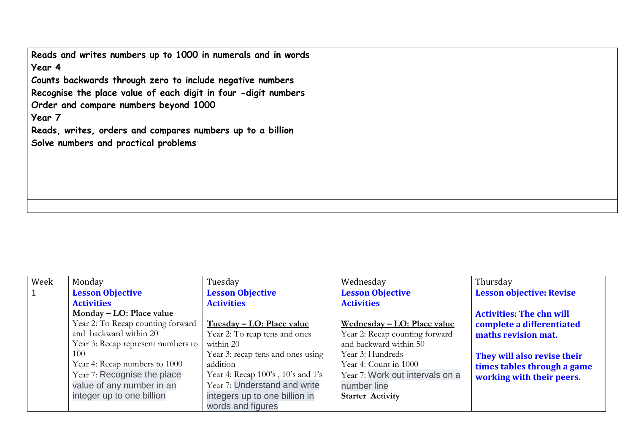**Reads and writes numbers up to 1000 in numerals and in words Year 4 Counts backwards through zero to include negative numbers Recognise the place value of each digit in four -digit numbers Order and compare numbers beyond 1000 Year 7 Reads, writes, orders and compares numbers up to a billion Solve numbers and practical problems**

| Week      | Monday                             | Tuesday                           | Wednesday                          | Thursday                        |
|-----------|------------------------------------|-----------------------------------|------------------------------------|---------------------------------|
| $\vert$ 1 | <b>Lesson Objective</b>            | <b>Lesson Objective</b>           | <b>Lesson Objective</b>            | <b>Lesson objective: Revise</b> |
|           | <b>Activities</b>                  | <b>Activities</b>                 | <b>Activities</b>                  |                                 |
|           | Monday – LO: Place value           |                                   |                                    | <b>Activities: The chn will</b> |
|           | Year 2: To Recap counting forward  | Tuesday - LO: Place value         | <u>Wednesday – LO: Place value</u> | complete a differentiated       |
|           | and backward within 20             | Year 2: To reap tens and ones     | Year 2: Recap counting forward     | maths revision mat.             |
|           | Year 3: Recap represent numbers to | within 20                         | and backward within 50             |                                 |
|           | 100                                | Year 3: recap tens and ones using | Year 3: Hundreds                   | They will also revise their     |
|           | Year 4: Recap numbers to 1000      | addition                          | Year 4: Count in 1000              | times tables through a game     |
|           | Year 7: Recognise the place        | Year 4: Recap 100's, 10's and 1's | Year 7: Work out intervals on a    | working with their peers.       |
|           | value of any number in an          | Year 7: Understand and write      | number line                        |                                 |
|           | integer up to one billion          | integers up to one billion in     | <b>Starter Activity</b>            |                                 |
|           |                                    | words and figures                 |                                    |                                 |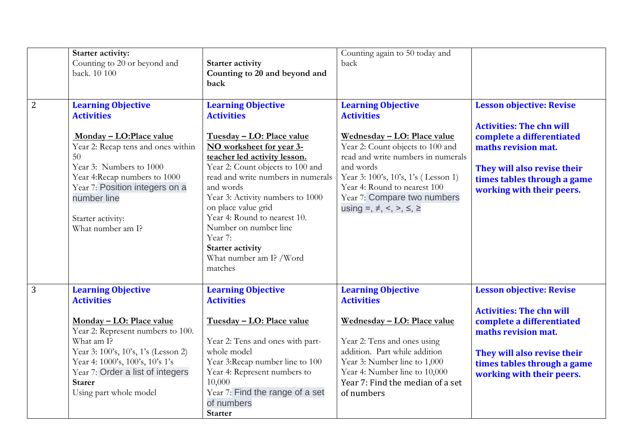|                | Starter activity:<br>Counting to 20 or beyond and                                                                                                                                                                                                                                      | <b>Starter activity</b>                                                                                                                                                                                                                                                                                                                                                                                                        | Counting again to 50 today and<br>back                                                                                                                                                                                                                                                                                       |                                                                                                                                                                                                                   |
|----------------|----------------------------------------------------------------------------------------------------------------------------------------------------------------------------------------------------------------------------------------------------------------------------------------|--------------------------------------------------------------------------------------------------------------------------------------------------------------------------------------------------------------------------------------------------------------------------------------------------------------------------------------------------------------------------------------------------------------------------------|------------------------------------------------------------------------------------------------------------------------------------------------------------------------------------------------------------------------------------------------------------------------------------------------------------------------------|-------------------------------------------------------------------------------------------------------------------------------------------------------------------------------------------------------------------|
|                | back. 10 100                                                                                                                                                                                                                                                                           | Counting to 20 and beyond and<br>back                                                                                                                                                                                                                                                                                                                                                                                          |                                                                                                                                                                                                                                                                                                                              |                                                                                                                                                                                                                   |
| 2              | <b>Learning Objective</b><br><b>Activities</b><br>Monday - LO: Place value<br>Year 2: Recap tens and ones within<br>50<br>Year 3: Numbers to 1000<br>Year 4:Recap numbers to 1000<br>Year 7: Position integers on a<br>number line<br>Starter activity:<br>What number am I?           | <b>Learning Objective</b><br><b>Activities</b><br>Tuesday - LO: Place value<br>NO worksheet for year 3-<br>teacher led activity lesson.<br>Year 2: Count objects to 100 and<br>read and write numbers in numerals<br>and words<br>Year 3: Activity numbers to 1000<br>on place value grid<br>Year 4: Round to nearest 10.<br>Number on number line<br>Year 7:<br><b>Starter activity</b><br>What number am I? /Word<br>matches | <b>Learning Objective</b><br><b>Activities</b><br><u>Wednesday – LO: Place value</u><br>Year 2: Count objects to 100 and<br>read and write numbers in numerals<br>and words<br>Year 3: 100's, 10's, 1's (Lesson 1)<br>Year 4: Round to nearest 100<br>Year 7: Compare two numbers<br>using =, $\neq$ , <, >, $\leq$ , $\geq$ | <b>Lesson objective: Revise</b><br><b>Activities: The chn will</b><br>complete a differentiated<br>maths revision mat.<br>They will also revise their<br>times tables through a game<br>working with their peers. |
| $\overline{3}$ | <b>Learning Objective</b><br><b>Activities</b><br>Monday - LO: Place value<br>Year 2: Represent numbers to 100.<br>What am I?<br>Year 3: 100's, 10's, 1's (Lesson 2)<br>Year 4: 1000's, 100's, 10's 1's<br>Year 7: Order a list of integers<br><b>Starer</b><br>Using part whole model | <b>Learning Objective</b><br><b>Activities</b><br>Tuesday - LO: Place value<br>Year 2: Tens and ones with part-<br>whole model<br>Year 3:Recap number line to 100<br>Year 4: Represent numbers to<br>10,000<br>Year 7: Find the range of a set<br>of numbers<br><b>Starter</b>                                                                                                                                                 | <b>Learning Objective</b><br><b>Activities</b><br>Wednesday - LO: Place value<br>Year 2: Tens and ones using<br>addition. Part while addition<br>Year 3: Number line to 1,000<br>Year 4: Number line to 10,000<br>Year 7: Find the median of a set<br>of numbers                                                             | <b>Lesson objective: Revise</b><br><b>Activities: The chn will</b><br>complete a differentiated<br>maths revision mat.<br>They will also revise their<br>times tables through a game<br>working with their peers. |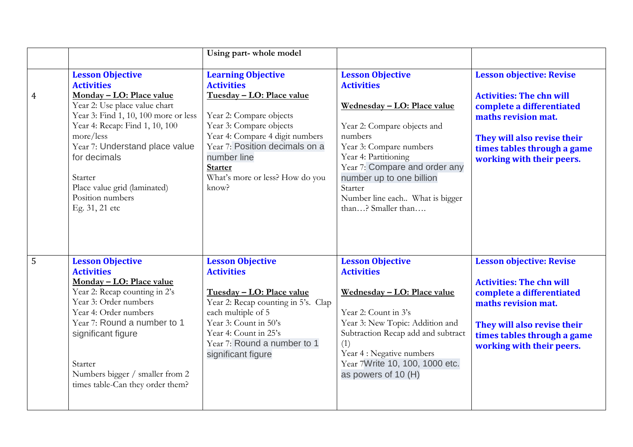|                |                                                                                                                                                                                                                                                                                                                                     | Using part-whole model                                                                                                                                                                                                                                                              |                                                                                                                                                                                                                                                                                                           |                                                                                                                                                                                                                   |
|----------------|-------------------------------------------------------------------------------------------------------------------------------------------------------------------------------------------------------------------------------------------------------------------------------------------------------------------------------------|-------------------------------------------------------------------------------------------------------------------------------------------------------------------------------------------------------------------------------------------------------------------------------------|-----------------------------------------------------------------------------------------------------------------------------------------------------------------------------------------------------------------------------------------------------------------------------------------------------------|-------------------------------------------------------------------------------------------------------------------------------------------------------------------------------------------------------------------|
| $\overline{4}$ | <b>Lesson Objective</b><br><b>Activities</b><br>Monday - LO: Place value<br>Year 2: Use place value chart<br>Year 3: Find 1, 10, 100 more or less<br>Year 4: Recap: Find 1, 10, 100<br>more/less<br>Year 7: Understand place value<br>for decimals<br>Starter<br>Place value grid (laminated)<br>Position numbers<br>Eg. 31, 21 etc | <b>Learning Objective</b><br><b>Activities</b><br>Tuesday - LO: Place value<br>Year 2: Compare objects<br>Year 3: Compare objects<br>Year 4: Compare 4 digit numbers<br>Year 7: Position decimals on a<br>number line<br><b>Starter</b><br>What's more or less? How do you<br>know? | <b>Lesson Objective</b><br><b>Activities</b><br>Wednesday - LO: Place value<br>Year 2: Compare objects and<br>numbers<br>Year 3: Compare numbers<br>Year 4: Partitioning<br>Year 7: Compare and order any<br>number up to one billion<br>Starter<br>Number line each What is bigger<br>than? Smaller than | <b>Lesson objective: Revise</b><br><b>Activities: The chn will</b><br>complete a differentiated<br>maths revision mat.<br>They will also revise their<br>times tables through a game<br>working with their peers. |
| 5              | <b>Lesson Objective</b><br><b>Activities</b><br>Monday - LO: Place value<br>Year 2: Recap counting in 2's<br>Year 3: Order numbers<br>Year 4: Order numbers<br>Year 7: Round a number to 1<br>significant figure<br>Starter<br>Numbers bigger / smaller from 2<br>times table-Can they order them?                                  | <b>Lesson Objective</b><br><b>Activities</b><br>Tuesday - LO: Place value<br>Year 2: Recap counting in 5's. Clap<br>each multiple of 5<br>Year 3: Count in 50's<br>Year 4: Count in 25's<br>Year 7: Round a number to 1<br>significant figure                                       | <b>Lesson Objective</b><br><b>Activities</b><br>Wednesday - LO: Place value<br>Year 2: Count in 3's<br>Year 3: New Topic: Addition and<br>Subtraction Recap add and subtract<br>(1)<br>Year 4 : Negative numbers<br>Year 7Write 10, 100, 1000 etc.<br>as powers of 10 (H)                                 | <b>Lesson objective: Revise</b><br><b>Activities: The chn will</b><br>complete a differentiated<br>maths revision mat.<br>They will also revise their<br>times tables through a game<br>working with their peers. |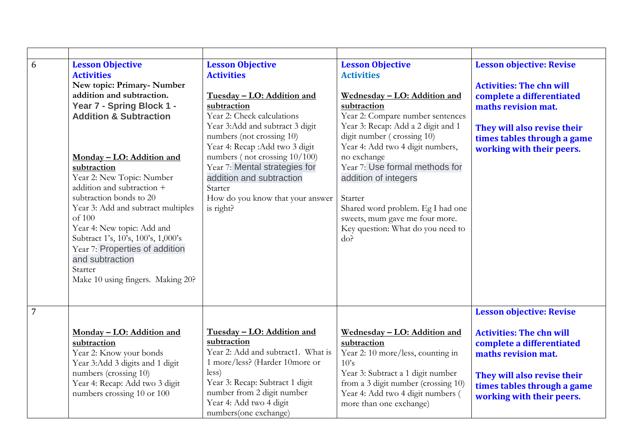| 6              | <b>Lesson Objective</b><br><b>Activities</b><br>New topic: Primary-Number<br>addition and subtraction.<br>Year 7 - Spring Block 1 -<br><b>Addition &amp; Subtraction</b><br>Monday - LO: Addition and<br>subtraction<br>Year 2: New Topic: Number<br>addition and subtraction +<br>subtraction bonds to 20<br>Year 3: Add and subtract multiples<br>of 100<br>Year 4: New topic: Add and<br>Subtract 1's, 10's, 100's, 1,000's<br>Year 7: Properties of addition<br>and subtraction<br>Starter<br>Make 10 using fingers. Making 20? | <b>Lesson Objective</b><br><b>Activities</b><br>Tuesday - LO: Addition and<br>subtraction<br>Year 2: Check calculations<br>Year 3:Add and subtract 3 digit<br>numbers (not crossing 10)<br>Year 4: Recap : Add two 3 digit<br>numbers (not crossing 10/100)<br>Year 7: Mental strategies for<br>addition and subtraction<br>Starter<br>How do you know that your answer<br>is right? | <b>Lesson Objective</b><br><b>Activities</b><br>Wednesday - LO: Addition and<br>subtraction<br>Year 2: Compare number sentences<br>Year 3: Recap: Add a 2 digit and 1<br>digit number (crossing 10)<br>Year 4: Add two 4 digit numbers,<br>no exchange<br>Year 7: Use formal methods for<br>addition of integers<br>Starter<br>Shared word problem. Eg I had one<br>sweets, mum gave me four more.<br>Key question: What do you need to<br>do? | <b>Lesson objective: Revise</b><br><b>Activities: The chn will</b><br>complete a differentiated<br>maths revision mat.<br>They will also revise their<br>times tables through a game<br>working with their peers. |
|----------------|-------------------------------------------------------------------------------------------------------------------------------------------------------------------------------------------------------------------------------------------------------------------------------------------------------------------------------------------------------------------------------------------------------------------------------------------------------------------------------------------------------------------------------------|--------------------------------------------------------------------------------------------------------------------------------------------------------------------------------------------------------------------------------------------------------------------------------------------------------------------------------------------------------------------------------------|------------------------------------------------------------------------------------------------------------------------------------------------------------------------------------------------------------------------------------------------------------------------------------------------------------------------------------------------------------------------------------------------------------------------------------------------|-------------------------------------------------------------------------------------------------------------------------------------------------------------------------------------------------------------------|
| $\overline{7}$ | Monday - LO: Addition and<br>subtraction<br>Year 2: Know your bonds<br>Year 3:Add 3 digits and 1 digit<br>numbers (crossing 10)<br>Year 4: Recap: Add two 3 digit<br>numbers crossing 10 or 100                                                                                                                                                                                                                                                                                                                                     | Tuesday - LO: Addition and<br>subtraction<br>Year 2: Add and subtract1. What is<br>1 more/less? (Harder 10more or<br>less)<br>Year 3: Recap: Subtract 1 digit<br>number from 2 digit number<br>Year 4: Add two 4 digit<br>numbers(one exchange)                                                                                                                                      | Wednesday - LO: Addition and<br>subtraction<br>Year 2: 10 more/less, counting in<br>10's<br>Year 3: Subtract a 1 digit number<br>from a 3 digit number (crossing 10)<br>Year 4: Add two 4 digit numbers (<br>more than one exchange)                                                                                                                                                                                                           | <b>Lesson objective: Revise</b><br><b>Activities: The chn will</b><br>complete a differentiated<br>maths revision mat.<br>They will also revise their<br>times tables through a game<br>working with their peers. |